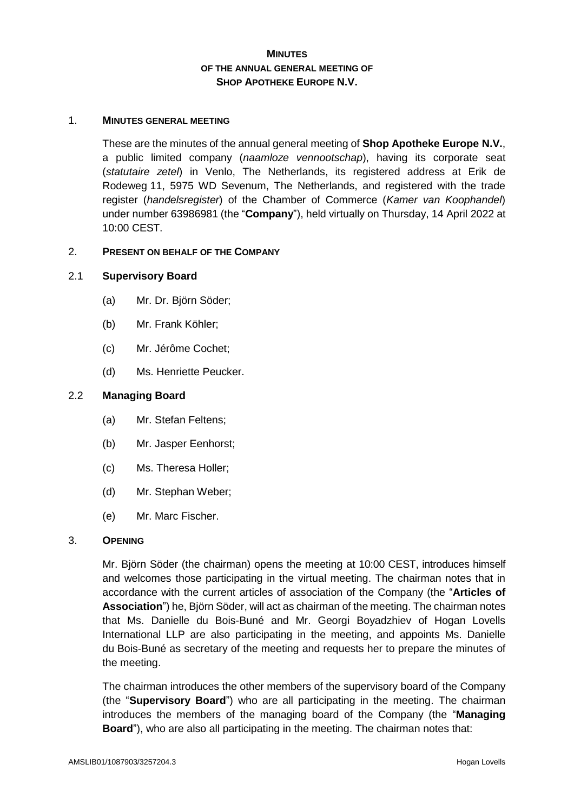# **MINUTES OF THE ANNUAL GENERAL MEETING OF SHOP APOTHEKE EUROPE N.V.**

## 1. **MINUTES GENERAL MEETING**

These are the minutes of the annual general meeting of **Shop Apotheke Europe N.V.**, a public limited company (*naamloze vennootschap*), having its corporate seat (*statutaire zetel*) in Venlo, The Netherlands, its registered address at Erik de Rodeweg 11, 5975 WD Sevenum, The Netherlands, and registered with the trade register (*handelsregister*) of the Chamber of Commerce (*Kamer van Koophandel*) under number 63986981 (the "**Company**"), held virtually on Thursday, 14 April 2022 at 10:00 CEST.

## 2. **PRESENT ON BEHALF OF THE COMPANY**

## 2.1 **Supervisory Board**

- (a) Mr. Dr. Björn Söder;
- (b) Mr. Frank Köhler;
- (c) Mr. Jérôme Cochet;
- (d) Ms. Henriette Peucker.

## 2.2 **Managing Board**

- (a) Mr. Stefan Feltens;
- (b) Mr. Jasper Eenhorst;
- (c) Ms. Theresa Holler;
- (d) Mr. Stephan Weber;
- (e) Mr. Marc Fischer.

## 3. **OPENING**

Mr. Björn Söder (the chairman) opens the meeting at 10:00 CEST, introduces himself and welcomes those participating in the virtual meeting. The chairman notes that in accordance with the current articles of association of the Company (the "**Articles of Association**") he, Björn Söder, will act as chairman of the meeting. The chairman notes that Ms. Danielle du Bois-Buné and Mr. Georgi Boyadzhiev of Hogan Lovells International LLP are also participating in the meeting, and appoints Ms. Danielle du Bois-Buné as secretary of the meeting and requests her to prepare the minutes of the meeting.

The chairman introduces the other members of the supervisory board of the Company (the "**Supervisory Board**") who are all participating in the meeting. The chairman introduces the members of the managing board of the Company (the "**Managing Board**"), who are also all participating in the meeting. The chairman notes that: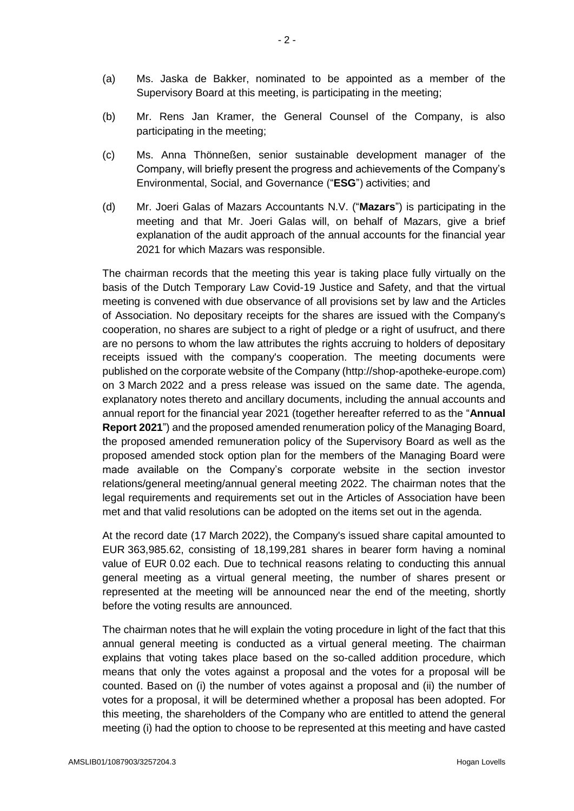- (a) Ms. Jaska de Bakker, nominated to be appointed as a member of the Supervisory Board at this meeting, is participating in the meeting;
- (b) Mr. Rens Jan Kramer, the General Counsel of the Company, is also participating in the meeting;
- (c) Ms. Anna Thönneßen, senior sustainable development manager of the Company, will briefly present the progress and achievements of the Company's Environmental, Social, and Governance ("**ESG**") activities; and
- (d) Mr. Joeri Galas of Mazars Accountants N.V. ("**Mazars**") is participating in the meeting and that Mr. Joeri Galas will, on behalf of Mazars, give a brief explanation of the audit approach of the annual accounts for the financial year 2021 for which Mazars was responsible.

The chairman records that the meeting this year is taking place fully virtually on the basis of the Dutch Temporary Law Covid-19 Justice and Safety, and that the virtual meeting is convened with due observance of all provisions set by law and the Articles of Association. No depositary receipts for the shares are issued with the Company's cooperation, no shares are subject to a right of pledge or a right of usufruct, and there are no persons to whom the law attributes the rights accruing to holders of depositary receipts issued with the company's cooperation. The meeting documents were published on the corporate website of the Company (http://shop-apotheke-europe.com) on 3 March 2022 and a press release was issued on the same date. The agenda, explanatory notes thereto and ancillary documents, including the annual accounts and annual report for the financial year 2021 (together hereafter referred to as the "**Annual Report 2021**") and the proposed amended renumeration policy of the Managing Board, the proposed amended remuneration policy of the Supervisory Board as well as the proposed amended stock option plan for the members of the Managing Board were made available on the Company's corporate website in the section investor relations/general meeting/annual general meeting 2022. The chairman notes that the legal requirements and requirements set out in the Articles of Association have been met and that valid resolutions can be adopted on the items set out in the agenda.

At the record date (17 March 2022), the Company's issued share capital amounted to EUR 363,985.62, consisting of 18,199,281 shares in bearer form having a nominal value of EUR 0.02 each. Due to technical reasons relating to conducting this annual general meeting as a virtual general meeting, the number of shares present or represented at the meeting will be announced near the end of the meeting, shortly before the voting results are announced.

The chairman notes that he will explain the voting procedure in light of the fact that this annual general meeting is conducted as a virtual general meeting. The chairman explains that voting takes place based on the so-called addition procedure, which means that only the votes against a proposal and the votes for a proposal will be counted. Based on (i) the number of votes against a proposal and (ii) the number of votes for a proposal, it will be determined whether a proposal has been adopted. For this meeting, the shareholders of the Company who are entitled to attend the general meeting (i) had the option to choose to be represented at this meeting and have casted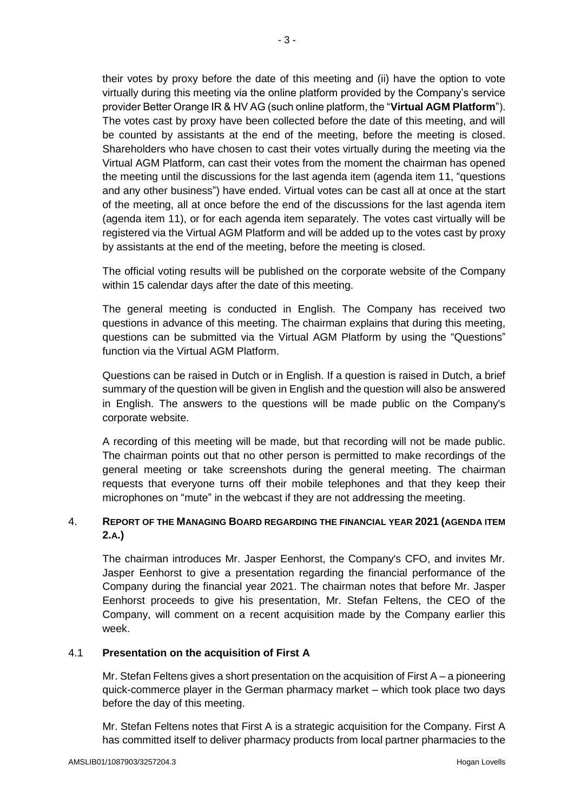their votes by proxy before the date of this meeting and (ii) have the option to vote virtually during this meeting via the online platform provided by the Company's service provider Better Orange IR & HV AG (such online platform, the "**Virtual AGM Platform**"). The votes cast by proxy have been collected before the date of this meeting, and will be counted by assistants at the end of the meeting, before the meeting is closed. Shareholders who have chosen to cast their votes virtually during the meeting via the Virtual AGM Platform, can cast their votes from the moment the chairman has opened the meeting until the discussions for the last agenda item (agenda item 11, "questions and any other business") have ended. Virtual votes can be cast all at once at the start of the meeting, all at once before the end of the discussions for the last agenda item (agenda item 11), or for each agenda item separately. The votes cast virtually will be registered via the Virtual AGM Platform and will be added up to the votes cast by proxy by assistants at the end of the meeting, before the meeting is closed.

The official voting results will be published on the corporate website of the Company within 15 calendar days after the date of this meeting.

The general meeting is conducted in English. The Company has received two questions in advance of this meeting. The chairman explains that during this meeting, questions can be submitted via the Virtual AGM Platform by using the "Questions" function via the Virtual AGM Platform.

Questions can be raised in Dutch or in English. If a question is raised in Dutch, a brief summary of the question will be given in English and the question will also be answered in English. The answers to the questions will be made public on the Company's corporate website.

A recording of this meeting will be made, but that recording will not be made public. The chairman points out that no other person is permitted to make recordings of the general meeting or take screenshots during the general meeting. The chairman requests that everyone turns off their mobile telephones and that they keep their microphones on "mute" in the webcast if they are not addressing the meeting.

# 4. **REPORT OF THE MANAGING BOARD REGARDING THE FINANCIAL YEAR 2021 (AGENDA ITEM 2.A.)**

The chairman introduces Mr. Jasper Eenhorst, the Company's CFO, and invites Mr. Jasper Eenhorst to give a presentation regarding the financial performance of the Company during the financial year 2021. The chairman notes that before Mr. Jasper Eenhorst proceeds to give his presentation, Mr. Stefan Feltens, the CEO of the Company, will comment on a recent acquisition made by the Company earlier this week.

# 4.1 **Presentation on the acquisition of First A**

Mr. Stefan Feltens gives a short presentation on the acquisition of First  $A - a$  pioneering quick-commerce player in the German pharmacy market – which took place two days before the day of this meeting.

Mr. Stefan Feltens notes that First A is a strategic acquisition for the Company. First A has committed itself to deliver pharmacy products from local partner pharmacies to the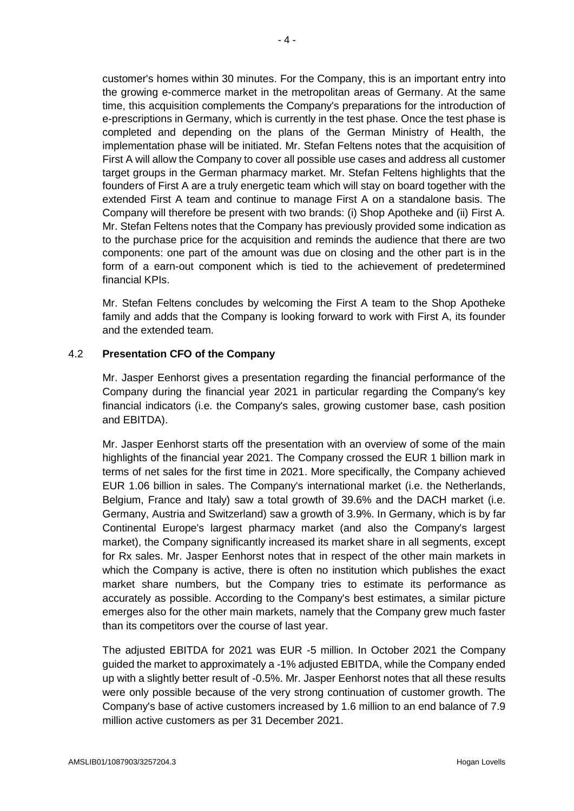customer's homes within 30 minutes. For the Company, this is an important entry into the growing e-commerce market in the metropolitan areas of Germany. At the same time, this acquisition complements the Company's preparations for the introduction of e-prescriptions in Germany, which is currently in the test phase. Once the test phase is completed and depending on the plans of the German Ministry of Health, the implementation phase will be initiated. Mr. Stefan Feltens notes that the acquisition of First A will allow the Company to cover all possible use cases and address all customer target groups in the German pharmacy market. Mr. Stefan Feltens highlights that the founders of First A are a truly energetic team which will stay on board together with the extended First A team and continue to manage First A on a standalone basis. The Company will therefore be present with two brands: (i) Shop Apotheke and (ii) First A. Mr. Stefan Feltens notes that the Company has previously provided some indication as to the purchase price for the acquisition and reminds the audience that there are two components: one part of the amount was due on closing and the other part is in the form of a earn-out component which is tied to the achievement of predetermined financial KPIs.

Mr. Stefan Feltens concludes by welcoming the First A team to the Shop Apotheke family and adds that the Company is looking forward to work with First A, its founder and the extended team.

# 4.2 **Presentation CFO of the Company**

Mr. Jasper Eenhorst gives a presentation regarding the financial performance of the Company during the financial year 2021 in particular regarding the Company's key financial indicators (i.e. the Company's sales, growing customer base, cash position and EBITDA).

Mr. Jasper Eenhorst starts off the presentation with an overview of some of the main highlights of the financial year 2021. The Company crossed the EUR 1 billion mark in terms of net sales for the first time in 2021. More specifically, the Company achieved EUR 1.06 billion in sales. The Company's international market (i.e. the Netherlands, Belgium, France and Italy) saw a total growth of 39.6% and the DACH market (i.e. Germany, Austria and Switzerland) saw a growth of 3.9%. In Germany, which is by far Continental Europe's largest pharmacy market (and also the Company's largest market), the Company significantly increased its market share in all segments, except for Rx sales. Mr. Jasper Eenhorst notes that in respect of the other main markets in which the Company is active, there is often no institution which publishes the exact market share numbers, but the Company tries to estimate its performance as accurately as possible. According to the Company's best estimates, a similar picture emerges also for the other main markets, namely that the Company grew much faster than its competitors over the course of last year.

The adjusted EBITDA for 2021 was EUR -5 million. In October 2021 the Company guided the market to approximately a -1% adjusted EBITDA, while the Company ended up with a slightly better result of -0.5%. Mr. Jasper Eenhorst notes that all these results were only possible because of the very strong continuation of customer growth. The Company's base of active customers increased by 1.6 million to an end balance of 7.9 million active customers as per 31 December 2021.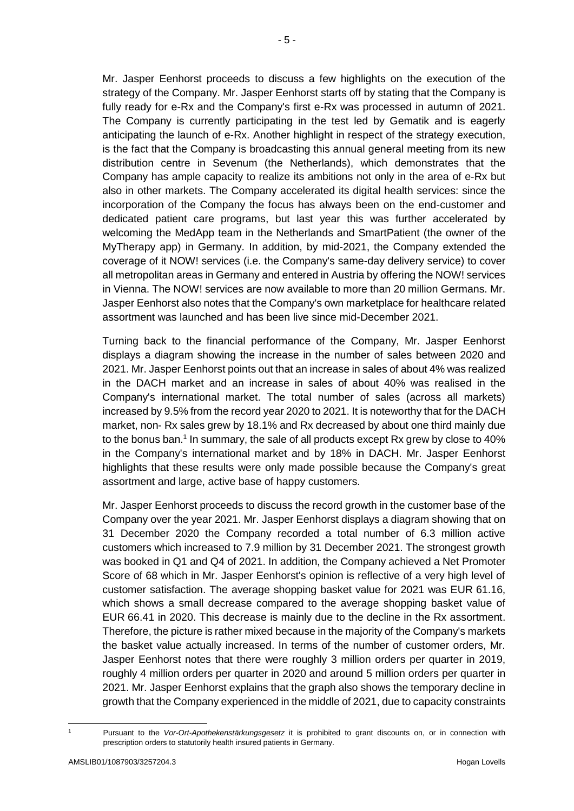- 5 -

Mr. Jasper Eenhorst proceeds to discuss a few highlights on the execution of the strategy of the Company. Mr. Jasper Eenhorst starts off by stating that the Company is fully ready for e-Rx and the Company's first e-Rx was processed in autumn of 2021. The Company is currently participating in the test led by Gematik and is eagerly anticipating the launch of e-Rx. Another highlight in respect of the strategy execution, is the fact that the Company is broadcasting this annual general meeting from its new distribution centre in Sevenum (the Netherlands), which demonstrates that the Company has ample capacity to realize its ambitions not only in the area of e-Rx but also in other markets. The Company accelerated its digital health services: since the incorporation of the Company the focus has always been on the end-customer and dedicated patient care programs, but last year this was further accelerated by welcoming the MedApp team in the Netherlands and SmartPatient (the owner of the MyTherapy app) in Germany. In addition, by mid-2021, the Company extended the coverage of it NOW! services (i.e. the Company's same-day delivery service) to cover all metropolitan areas in Germany and entered in Austria by offering the NOW! services in Vienna. The NOW! services are now available to more than 20 million Germans. Mr. Jasper Eenhorst also notes that the Company's own marketplace for healthcare related assortment was launched and has been live since mid-December 2021.

Turning back to the financial performance of the Company, Mr. Jasper Eenhorst displays a diagram showing the increase in the number of sales between 2020 and 2021. Mr. Jasper Eenhorst points out that an increase in sales of about 4% was realized in the DACH market and an increase in sales of about 40% was realised in the Company's international market. The total number of sales (across all markets) increased by 9.5% from the record year 2020 to 2021. It is noteworthy that for the DACH market, non- Rx sales grew by 18.1% and Rx decreased by about one third mainly due to the bonus ban. 1 In summary, the sale of all products except Rx grew by close to 40% in the Company's international market and by 18% in DACH. Mr. Jasper Eenhorst highlights that these results were only made possible because the Company's great assortment and large, active base of happy customers.

Mr. Jasper Eenhorst proceeds to discuss the record growth in the customer base of the Company over the year 2021. Mr. Jasper Eenhorst displays a diagram showing that on 31 December 2020 the Company recorded a total number of 6.3 million active customers which increased to 7.9 million by 31 December 2021. The strongest growth was booked in Q1 and Q4 of 2021. In addition, the Company achieved a Net Promoter Score of 68 which in Mr. Jasper Eenhorst's opinion is reflective of a very high level of customer satisfaction. The average shopping basket value for 2021 was EUR 61.16, which shows a small decrease compared to the average shopping basket value of EUR 66.41 in 2020. This decrease is mainly due to the decline in the Rx assortment. Therefore, the picture is rather mixed because in the majority of the Company's markets the basket value actually increased. In terms of the number of customer orders, Mr. Jasper Eenhorst notes that there were roughly 3 million orders per quarter in 2019, roughly 4 million orders per quarter in 2020 and around 5 million orders per quarter in 2021. Mr. Jasper Eenhorst explains that the graph also shows the temporary decline in growth that the Company experienced in the middle of 2021, due to capacity constraints

 $\overline{a}$ 

<sup>1</sup> Pursuant to the *Vor-Ort-Apothekenstärkungsgesetz* it is prohibited to grant discounts on, or in connection with prescription orders to statutorily health insured patients in Germany.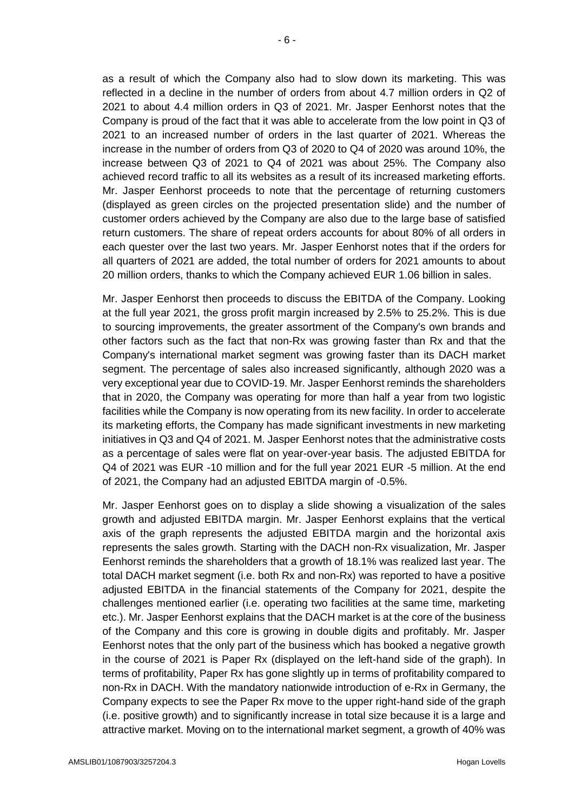as a result of which the Company also had to slow down its marketing. This was reflected in a decline in the number of orders from about 4.7 million orders in Q2 of 2021 to about 4.4 million orders in Q3 of 2021. Mr. Jasper Eenhorst notes that the Company is proud of the fact that it was able to accelerate from the low point in Q3 of 2021 to an increased number of orders in the last quarter of 2021. Whereas the increase in the number of orders from Q3 of 2020 to Q4 of 2020 was around 10%, the increase between Q3 of 2021 to Q4 of 2021 was about 25%. The Company also achieved record traffic to all its websites as a result of its increased marketing efforts. Mr. Jasper Eenhorst proceeds to note that the percentage of returning customers (displayed as green circles on the projected presentation slide) and the number of customer orders achieved by the Company are also due to the large base of satisfied return customers. The share of repeat orders accounts for about 80% of all orders in each quester over the last two years. Mr. Jasper Eenhorst notes that if the orders for all quarters of 2021 are added, the total number of orders for 2021 amounts to about 20 million orders, thanks to which the Company achieved EUR 1.06 billion in sales.

Mr. Jasper Eenhorst then proceeds to discuss the EBITDA of the Company. Looking at the full year 2021, the gross profit margin increased by 2.5% to 25.2%. This is due to sourcing improvements, the greater assortment of the Company's own brands and other factors such as the fact that non-Rx was growing faster than Rx and that the Company's international market segment was growing faster than its DACH market segment. The percentage of sales also increased significantly, although 2020 was a very exceptional year due to COVID-19. Mr. Jasper Eenhorst reminds the shareholders that in 2020, the Company was operating for more than half a year from two logistic facilities while the Company is now operating from its new facility. In order to accelerate its marketing efforts, the Company has made significant investments in new marketing initiatives in Q3 and Q4 of 2021. M. Jasper Eenhorst notes that the administrative costs as a percentage of sales were flat on year-over-year basis. The adjusted EBITDA for Q4 of 2021 was EUR -10 million and for the full year 2021 EUR -5 million. At the end of 2021, the Company had an adjusted EBITDA margin of -0.5%.

Mr. Jasper Eenhorst goes on to display a slide showing a visualization of the sales growth and adjusted EBITDA margin. Mr. Jasper Eenhorst explains that the vertical axis of the graph represents the adjusted EBITDA margin and the horizontal axis represents the sales growth. Starting with the DACH non-Rx visualization, Mr. Jasper Eenhorst reminds the shareholders that a growth of 18.1% was realized last year. The total DACH market segment (i.e. both Rx and non-Rx) was reported to have a positive adjusted EBITDA in the financial statements of the Company for 2021, despite the challenges mentioned earlier (i.e. operating two facilities at the same time, marketing etc.). Mr. Jasper Eenhorst explains that the DACH market is at the core of the business of the Company and this core is growing in double digits and profitably. Mr. Jasper Eenhorst notes that the only part of the business which has booked a negative growth in the course of 2021 is Paper Rx (displayed on the left-hand side of the graph). In terms of profitability, Paper Rx has gone slightly up in terms of profitability compared to non-Rx in DACH. With the mandatory nationwide introduction of e-Rx in Germany, the Company expects to see the Paper Rx move to the upper right-hand side of the graph (i.e. positive growth) and to significantly increase in total size because it is a large and attractive market. Moving on to the international market segment, a growth of 40% was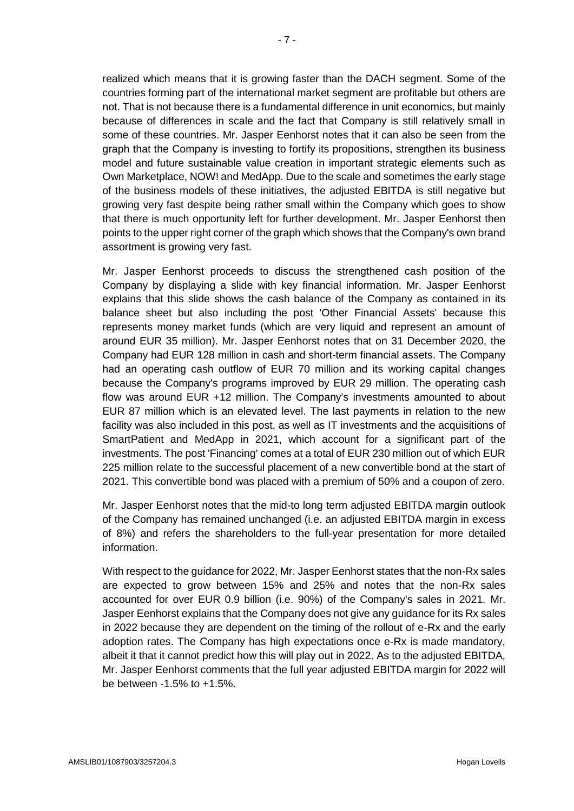realized which means that it is growing faster than the DACH segment. Some of the countries forming part of the international market segment are profitable but others are not. That is not because there is a fundamental difference in unit economics, but mainly because of differences in scale and the fact that Company is still relatively small in some of these countries. Mr. Jasper Eenhorst notes that it can also be seen from the graph that the Company is investing to fortify its propositions, strengthen its business model and future sustainable value creation in important strategic elements such as Own Marketplace, NOW! and MedApp. Due to the scale and sometimes the early stage of the business models of these initiatives, the adjusted EBITDA is still negative but growing very fast despite being rather small within the Company which goes to show that there is much opportunity left for further development. Mr. Jasper Eenhorst then points to the upper right corner of the graph which shows that the Company's own brand assortment is growing very fast.

Mr. Jasper Eenhorst proceeds to discuss the strengthened cash position of the Company by displaying a slide with key financial information. Mr. Jasper Eenhorst explains that this slide shows the cash balance of the Company as contained in its balance sheet but also including the post 'Other Financial Assets' because this represents money market funds (which are very liquid and represent an amount of around EUR 35 million). Mr. Jasper Eenhorst notes that on 31 December 2020, the Company had EUR 128 million in cash and short-term financial assets. The Company had an operating cash outflow of EUR 70 million and its working capital changes because the Company's programs improved by EUR 29 million. The operating cash flow was around EUR +12 million. The Company's investments amounted to about EUR 87 million which is an elevated level. The last payments in relation to the new facility was also included in this post, as well as IT investments and the acquisitions of SmartPatient and MedApp in 2021, which account for a significant part of the investments. The post 'Financing' comes at a total of EUR 230 million out of which EUR 225 million relate to the successful placement of a new convertible bond at the start of 2021. This convertible bond was placed with a premium of 50% and a coupon of zero.

Mr. Jasper Eenhorst notes that the mid-to long term adjusted EBITDA margin outlook of the Company has remained unchanged (i.e. an adjusted EBITDA margin in excess of 8%) and refers the shareholders to the full-year presentation for more detailed information.

With respect to the guidance for 2022, Mr. Jasper Eenhorst states that the non-Rx sales are expected to grow between 15% and 25% and notes that the non-Rx sales accounted for over EUR 0.9 billion (i.e. 90%) of the Company's sales in 2021. Mr. Jasper Eenhorst explains that the Company does not give any guidance for its Rx sales in 2022 because they are dependent on the timing of the rollout of e-Rx and the early adoption rates. The Company has high expectations once e-Rx is made mandatory, albeit it that it cannot predict how this will play out in 2022. As to the adjusted EBITDA, Mr. Jasper Eenhorst comments that the full year adjusted EBITDA margin for 2022 will be between -1.5% to +1.5%.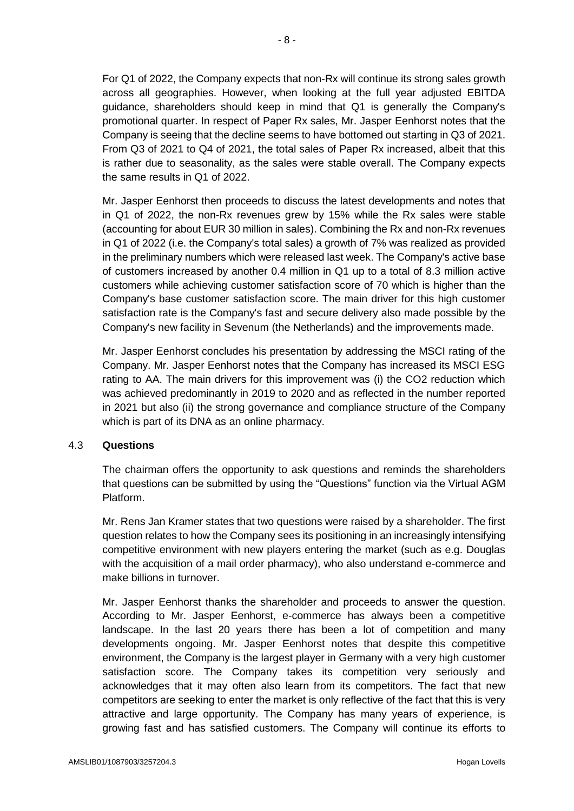For Q1 of 2022, the Company expects that non-Rx will continue its strong sales growth across all geographies. However, when looking at the full year adjusted EBITDA guidance, shareholders should keep in mind that Q1 is generally the Company's promotional quarter. In respect of Paper Rx sales, Mr. Jasper Eenhorst notes that the Company is seeing that the decline seems to have bottomed out starting in Q3 of 2021. From Q3 of 2021 to Q4 of 2021, the total sales of Paper Rx increased, albeit that this is rather due to seasonality, as the sales were stable overall. The Company expects the same results in Q1 of 2022.

Mr. Jasper Eenhorst then proceeds to discuss the latest developments and notes that in Q1 of 2022, the non-Rx revenues grew by 15% while the Rx sales were stable (accounting for about EUR 30 million in sales). Combining the Rx and non-Rx revenues in Q1 of 2022 (i.e. the Company's total sales) a growth of 7% was realized as provided in the preliminary numbers which were released last week. The Company's active base of customers increased by another 0.4 million in Q1 up to a total of 8.3 million active customers while achieving customer satisfaction score of 70 which is higher than the Company's base customer satisfaction score. The main driver for this high customer satisfaction rate is the Company's fast and secure delivery also made possible by the Company's new facility in Sevenum (the Netherlands) and the improvements made.

Mr. Jasper Eenhorst concludes his presentation by addressing the MSCI rating of the Company. Mr. Jasper Eenhorst notes that the Company has increased its MSCI ESG rating to AA. The main drivers for this improvement was (i) the CO2 reduction which was achieved predominantly in 2019 to 2020 and as reflected in the number reported in 2021 but also (ii) the strong governance and compliance structure of the Company which is part of its DNA as an online pharmacy.

#### 4.3 **Questions**

The chairman offers the opportunity to ask questions and reminds the shareholders that questions can be submitted by using the "Questions" function via the Virtual AGM Platform.

Mr. Rens Jan Kramer states that two questions were raised by a shareholder. The first question relates to how the Company sees its positioning in an increasingly intensifying competitive environment with new players entering the market (such as e.g. Douglas with the acquisition of a mail order pharmacy), who also understand e-commerce and make billions in turnover.

Mr. Jasper Eenhorst thanks the shareholder and proceeds to answer the question. According to Mr. Jasper Eenhorst, e-commerce has always been a competitive landscape. In the last 20 years there has been a lot of competition and many developments ongoing. Mr. Jasper Eenhorst notes that despite this competitive environment, the Company is the largest player in Germany with a very high customer satisfaction score. The Company takes its competition very seriously and acknowledges that it may often also learn from its competitors. The fact that new competitors are seeking to enter the market is only reflective of the fact that this is very attractive and large opportunity. The Company has many years of experience, is growing fast and has satisfied customers. The Company will continue its efforts to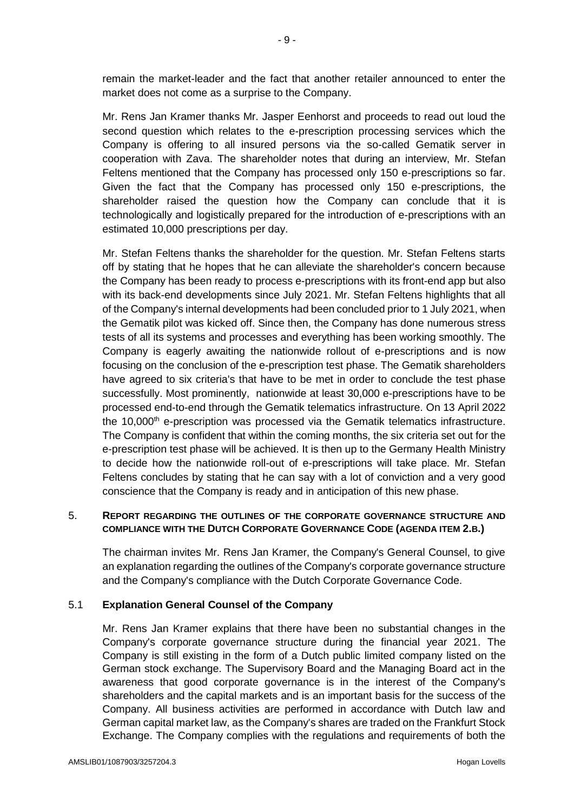remain the market-leader and the fact that another retailer announced to enter the market does not come as a surprise to the Company.

Mr. Rens Jan Kramer thanks Mr. Jasper Eenhorst and proceeds to read out loud the second question which relates to the e-prescription processing services which the Company is offering to all insured persons via the so-called Gematik server in cooperation with Zava. The shareholder notes that during an interview, Mr. Stefan Feltens mentioned that the Company has processed only 150 e-prescriptions so far. Given the fact that the Company has processed only 150 e-prescriptions, the shareholder raised the question how the Company can conclude that it is technologically and logistically prepared for the introduction of e-prescriptions with an estimated 10,000 prescriptions per day.

Mr. Stefan Feltens thanks the shareholder for the question. Mr. Stefan Feltens starts off by stating that he hopes that he can alleviate the shareholder's concern because the Company has been ready to process e-prescriptions with its front-end app but also with its back-end developments since July 2021. Mr. Stefan Feltens highlights that all of the Company's internal developments had been concluded prior to 1 July 2021, when the Gematik pilot was kicked off. Since then, the Company has done numerous stress tests of all its systems and processes and everything has been working smoothly. The Company is eagerly awaiting the nationwide rollout of e-prescriptions and is now focusing on the conclusion of the e-prescription test phase. The Gematik shareholders have agreed to six criteria's that have to be met in order to conclude the test phase successfully. Most prominently, nationwide at least 30,000 e-prescriptions have to be processed end-to-end through the Gematik telematics infrastructure. On 13 April 2022 the 10,000<sup>th</sup> e-prescription was processed via the Gematik telematics infrastructure. The Company is confident that within the coming months, the six criteria set out for the e-prescription test phase will be achieved. It is then up to the Germany Health Ministry to decide how the nationwide roll-out of e-prescriptions will take place. Mr. Stefan Feltens concludes by stating that he can say with a lot of conviction and a very good conscience that the Company is ready and in anticipation of this new phase.

## 5. **REPORT REGARDING THE OUTLINES OF THE CORPORATE GOVERNANCE STRUCTURE AND COMPLIANCE WITH THE DUTCH CORPORATE GOVERNANCE CODE (AGENDA ITEM 2.B.)**

The chairman invites Mr. Rens Jan Kramer, the Company's General Counsel, to give an explanation regarding the outlines of the Company's corporate governance structure and the Company's compliance with the Dutch Corporate Governance Code.

# 5.1 **Explanation General Counsel of the Company**

Mr. Rens Jan Kramer explains that there have been no substantial changes in the Company's corporate governance structure during the financial year 2021. The Company is still existing in the form of a Dutch public limited company listed on the German stock exchange. The Supervisory Board and the Managing Board act in the awareness that good corporate governance is in the interest of the Company's shareholders and the capital markets and is an important basis for the success of the Company. All business activities are performed in accordance with Dutch law and German capital market law, as the Company's shares are traded on the Frankfurt Stock Exchange. The Company complies with the regulations and requirements of both the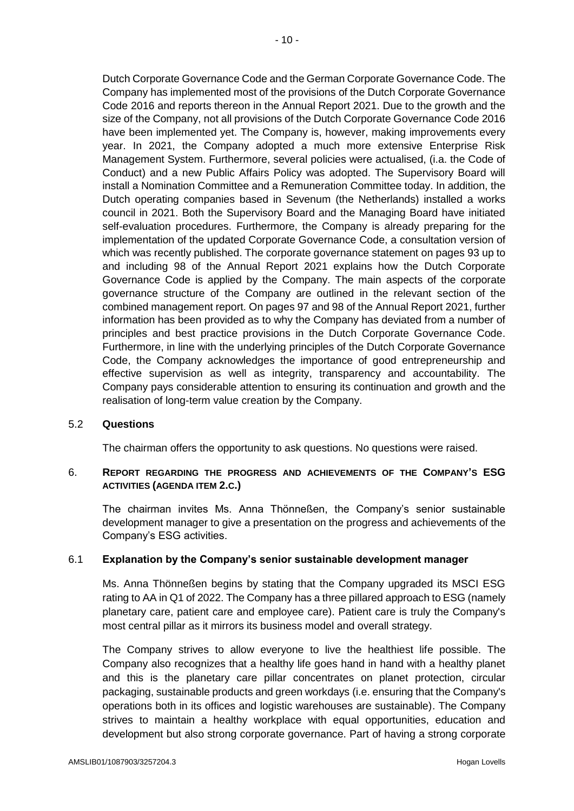Dutch Corporate Governance Code and the German Corporate Governance Code. The Company has implemented most of the provisions of the Dutch Corporate Governance Code 2016 and reports thereon in the Annual Report 2021. Due to the growth and the size of the Company, not all provisions of the Dutch Corporate Governance Code 2016 have been implemented yet. The Company is, however, making improvements every year. In 2021, the Company adopted a much more extensive Enterprise Risk Management System. Furthermore, several policies were actualised, (i.a. the Code of Conduct) and a new Public Affairs Policy was adopted. The Supervisory Board will install a Nomination Committee and a Remuneration Committee today. In addition, the Dutch operating companies based in Sevenum (the Netherlands) installed a works council in 2021. Both the Supervisory Board and the Managing Board have initiated self-evaluation procedures. Furthermore, the Company is already preparing for the implementation of the updated Corporate Governance Code, a consultation version of which was recently published. The corporate governance statement on pages 93 up to and including 98 of the Annual Report 2021 explains how the Dutch Corporate Governance Code is applied by the Company. The main aspects of the corporate governance structure of the Company are outlined in the relevant section of the combined management report. On pages 97 and 98 of the Annual Report 2021, further information has been provided as to why the Company has deviated from a number of principles and best practice provisions in the Dutch Corporate Governance Code. Furthermore, in line with the underlying principles of the Dutch Corporate Governance Code, the Company acknowledges the importance of good entrepreneurship and effective supervision as well as integrity, transparency and accountability. The Company pays considerable attention to ensuring its continuation and growth and the realisation of long-term value creation by the Company.

#### 5.2 **Questions**

The chairman offers the opportunity to ask questions. No questions were raised.

# 6. **REPORT REGARDING THE PROGRESS AND ACHIEVEMENTS OF THE COMPANY'S ESG ACTIVITIES (AGENDA ITEM 2.C.)**

The chairman invites Ms. Anna Thönneßen, the Company's senior sustainable development manager to give a presentation on the progress and achievements of the Company's ESG activities.

#### 6.1 **Explanation by the Company's senior sustainable development manager**

Ms. Anna Thönneßen begins by stating that the Company upgraded its MSCI ESG rating to AA in Q1 of 2022. The Company has a three pillared approach to ESG (namely planetary care, patient care and employee care). Patient care is truly the Company's most central pillar as it mirrors its business model and overall strategy.

The Company strives to allow everyone to live the healthiest life possible. The Company also recognizes that a healthy life goes hand in hand with a healthy planet and this is the planetary care pillar concentrates on planet protection, circular packaging, sustainable products and green workdays (i.e. ensuring that the Company's operations both in its offices and logistic warehouses are sustainable). The Company strives to maintain a healthy workplace with equal opportunities, education and development but also strong corporate governance. Part of having a strong corporate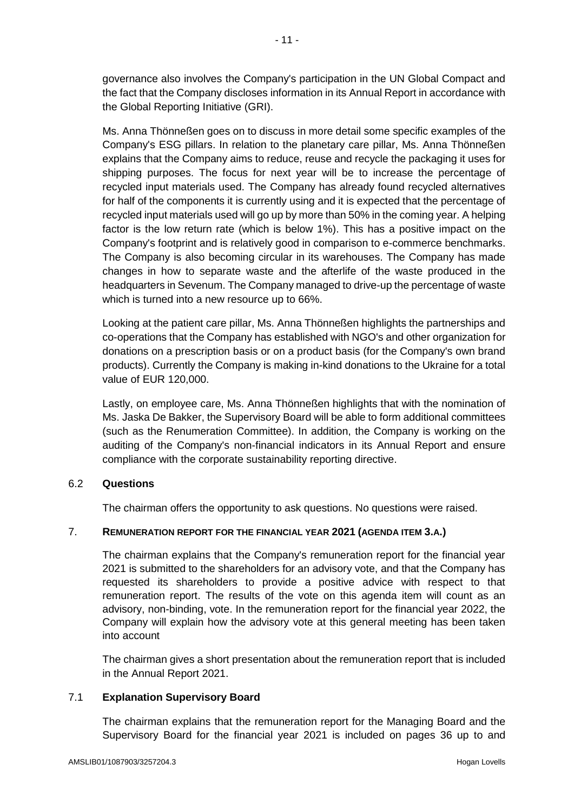governance also involves the Company's participation in the UN Global Compact and the fact that the Company discloses information in its Annual Report in accordance with the Global Reporting Initiative (GRI).

Ms. Anna Thönneßen goes on to discuss in more detail some specific examples of the Company's ESG pillars. In relation to the planetary care pillar, Ms. Anna Thönneßen explains that the Company aims to reduce, reuse and recycle the packaging it uses for shipping purposes. The focus for next year will be to increase the percentage of recycled input materials used. The Company has already found recycled alternatives for half of the components it is currently using and it is expected that the percentage of recycled input materials used will go up by more than 50% in the coming year. A helping factor is the low return rate (which is below 1%). This has a positive impact on the Company's footprint and is relatively good in comparison to e-commerce benchmarks. The Company is also becoming circular in its warehouses. The Company has made changes in how to separate waste and the afterlife of the waste produced in the headquarters in Sevenum. The Company managed to drive-up the percentage of waste which is turned into a new resource up to 66%.

Looking at the patient care pillar, Ms. Anna Thönneßen highlights the partnerships and co-operations that the Company has established with NGO's and other organization for donations on a prescription basis or on a product basis (for the Company's own brand products). Currently the Company is making in-kind donations to the Ukraine for a total value of EUR 120,000.

Lastly, on employee care, Ms. Anna Thönneßen highlights that with the nomination of Ms. Jaska De Bakker, the Supervisory Board will be able to form additional committees (such as the Renumeration Committee). In addition, the Company is working on the auditing of the Company's non-financial indicators in its Annual Report and ensure compliance with the corporate sustainability reporting directive.

# 6.2 **Questions**

The chairman offers the opportunity to ask questions. No questions were raised.

# 7. **REMUNERATION REPORT FOR THE FINANCIAL YEAR 2021 (AGENDA ITEM 3.A.)**

The chairman explains that the Company's remuneration report for the financial year 2021 is submitted to the shareholders for an advisory vote, and that the Company has requested its shareholders to provide a positive advice with respect to that remuneration report. The results of the vote on this agenda item will count as an advisory, non-binding, vote. In the remuneration report for the financial year 2022, the Company will explain how the advisory vote at this general meeting has been taken into account

The chairman gives a short presentation about the remuneration report that is included in the Annual Report 2021.

# 7.1 **Explanation Supervisory Board**

The chairman explains that the remuneration report for the Managing Board and the Supervisory Board for the financial year 2021 is included on pages 36 up to and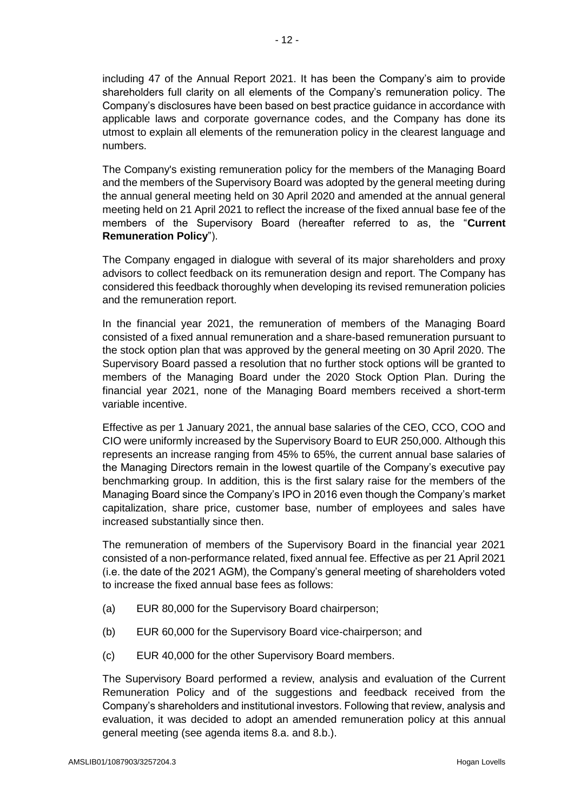including 47 of the Annual Report 2021. It has been the Company's aim to provide shareholders full clarity on all elements of the Company's remuneration policy. The Company's disclosures have been based on best practice guidance in accordance with applicable laws and corporate governance codes, and the Company has done its utmost to explain all elements of the remuneration policy in the clearest language and numbers.

The Company's existing remuneration policy for the members of the Managing Board and the members of the Supervisory Board was adopted by the general meeting during the annual general meeting held on 30 April 2020 and amended at the annual general meeting held on 21 April 2021 to reflect the increase of the fixed annual base fee of the members of the Supervisory Board (hereafter referred to as, the "**Current Remuneration Policy**").

The Company engaged in dialogue with several of its major shareholders and proxy advisors to collect feedback on its remuneration design and report. The Company has considered this feedback thoroughly when developing its revised remuneration policies and the remuneration report.

In the financial year 2021, the remuneration of members of the Managing Board consisted of a fixed annual remuneration and a share-based remuneration pursuant to the stock option plan that was approved by the general meeting on 30 April 2020. The Supervisory Board passed a resolution that no further stock options will be granted to members of the Managing Board under the 2020 Stock Option Plan. During the financial year 2021, none of the Managing Board members received a short-term variable incentive.

Effective as per 1 January 2021, the annual base salaries of the CEO, CCO, COO and CIO were uniformly increased by the Supervisory Board to EUR 250,000. Although this represents an increase ranging from 45% to 65%, the current annual base salaries of the Managing Directors remain in the lowest quartile of the Company's executive pay benchmarking group. In addition, this is the first salary raise for the members of the Managing Board since the Company's IPO in 2016 even though the Company's market capitalization, share price, customer base, number of employees and sales have increased substantially since then.

The remuneration of members of the Supervisory Board in the financial year 2021 consisted of a non-performance related, fixed annual fee. Effective as per 21 April 2021 (i.e. the date of the 2021 AGM), the Company's general meeting of shareholders voted to increase the fixed annual base fees as follows:

- (a) EUR 80,000 for the Supervisory Board chairperson;
- (b) EUR 60,000 for the Supervisory Board vice-chairperson; and
- (c) EUR 40,000 for the other Supervisory Board members.

The Supervisory Board performed a review, analysis and evaluation of the Current Remuneration Policy and of the suggestions and feedback received from the Company's shareholders and institutional investors. Following that review, analysis and evaluation, it was decided to adopt an amended remuneration policy at this annual general meeting (see agenda items 8.a. and 8.b.).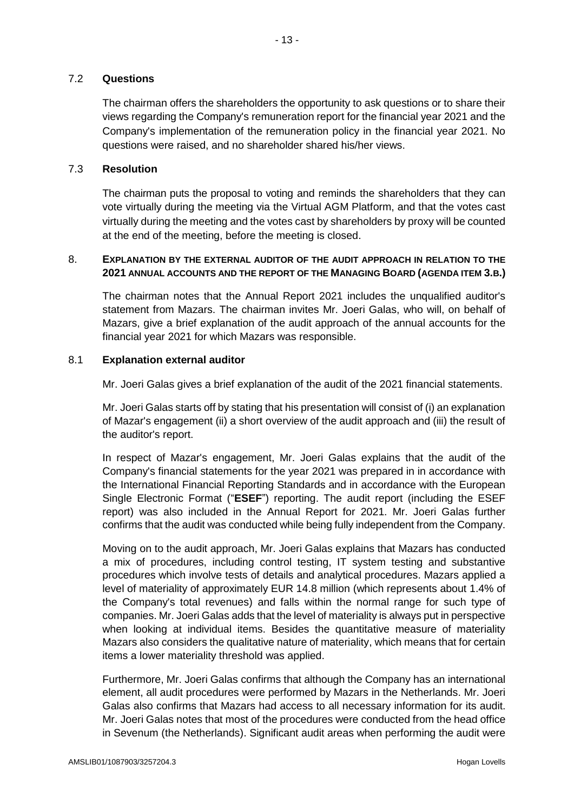## 7.2 **Questions**

The chairman offers the shareholders the opportunity to ask questions or to share their views regarding the Company's remuneration report for the financial year 2021 and the Company's implementation of the remuneration policy in the financial year 2021. No questions were raised, and no shareholder shared his/her views.

## 7.3 **Resolution**

The chairman puts the proposal to voting and reminds the shareholders that they can vote virtually during the meeting via the Virtual AGM Platform, and that the votes cast virtually during the meeting and the votes cast by shareholders by proxy will be counted at the end of the meeting, before the meeting is closed.

# 8. **EXPLANATION BY THE EXTERNAL AUDITOR OF THE AUDIT APPROACH IN RELATION TO THE 2021 ANNUAL ACCOUNTS AND THE REPORT OF THE MANAGING BOARD (AGENDA ITEM 3.B.)**

The chairman notes that the Annual Report 2021 includes the unqualified auditor's statement from Mazars. The chairman invites Mr. Joeri Galas, who will, on behalf of Mazars, give a brief explanation of the audit approach of the annual accounts for the financial year 2021 for which Mazars was responsible.

#### 8.1 **Explanation external auditor**

Mr. Joeri Galas gives a brief explanation of the audit of the 2021 financial statements.

Mr. Joeri Galas starts off by stating that his presentation will consist of (i) an explanation of Mazar's engagement (ii) a short overview of the audit approach and (iii) the result of the auditor's report.

In respect of Mazar's engagement, Mr. Joeri Galas explains that the audit of the Company's financial statements for the year 2021 was prepared in in accordance with the International Financial Reporting Standards and in accordance with the European Single Electronic Format ("**ESEF**") reporting. The audit report (including the ESEF report) was also included in the Annual Report for 2021. Mr. Joeri Galas further confirms that the audit was conducted while being fully independent from the Company.

Moving on to the audit approach, Mr. Joeri Galas explains that Mazars has conducted a mix of procedures, including control testing, IT system testing and substantive procedures which involve tests of details and analytical procedures. Mazars applied a level of materiality of approximately EUR 14.8 million (which represents about 1.4% of the Company's total revenues) and falls within the normal range for such type of companies. Mr. Joeri Galas adds that the level of materiality is always put in perspective when looking at individual items. Besides the quantitative measure of materiality Mazars also considers the qualitative nature of materiality, which means that for certain items a lower materiality threshold was applied.

Furthermore, Mr. Joeri Galas confirms that although the Company has an international element, all audit procedures were performed by Mazars in the Netherlands. Mr. Joeri Galas also confirms that Mazars had access to all necessary information for its audit. Mr. Joeri Galas notes that most of the procedures were conducted from the head office in Sevenum (the Netherlands). Significant audit areas when performing the audit were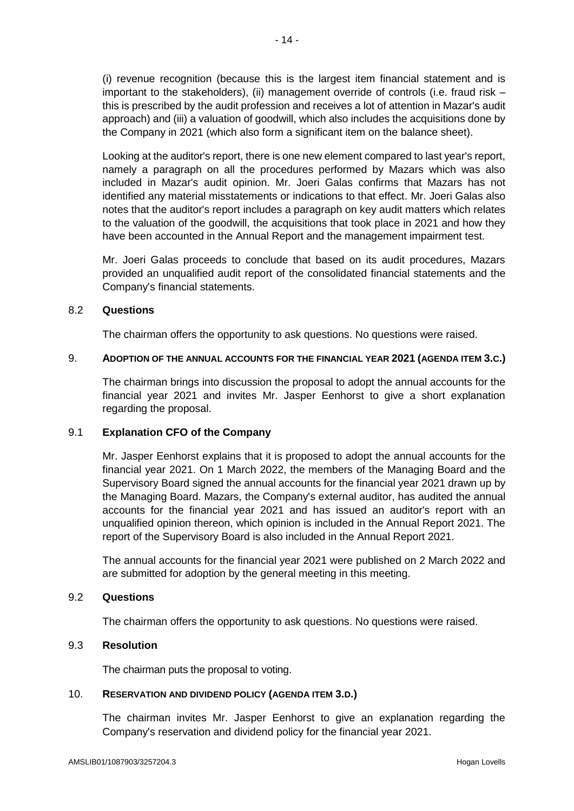(i) revenue recognition (because this is the largest item financial statement and is important to the stakeholders), (ii) management override of controls (i.e. fraud risk – this is prescribed by the audit profession and receives a lot of attention in Mazar's audit approach) and (iii) a valuation of goodwill, which also includes the acquisitions done by the Company in 2021 (which also form a significant item on the balance sheet).

Looking at the auditor's report, there is one new element compared to last year's report, namely a paragraph on all the procedures performed by Mazars which was also included in Mazar's audit opinion. Mr. Joeri Galas confirms that Mazars has not identified any material misstatements or indications to that effect. Mr. Joeri Galas also notes that the auditor's report includes a paragraph on key audit matters which relates to the valuation of the goodwill, the acquisitions that took place in 2021 and how they have been accounted in the Annual Report and the management impairment test.

Mr. Joeri Galas proceeds to conclude that based on its audit procedures, Mazars provided an unqualified audit report of the consolidated financial statements and the Company's financial statements.

## 8.2 **Questions**

The chairman offers the opportunity to ask questions. No questions were raised.

#### 9. **ADOPTION OF THE ANNUAL ACCOUNTS FOR THE FINANCIAL YEAR 2021 (AGENDA ITEM 3.C.)**

The chairman brings into discussion the proposal to adopt the annual accounts for the financial year 2021 and invites Mr. Jasper Eenhorst to give a short explanation regarding the proposal.

# 9.1 **Explanation CFO of the Company**

Mr. Jasper Eenhorst explains that it is proposed to adopt the annual accounts for the financial year 2021. On 1 March 2022, the members of the Managing Board and the Supervisory Board signed the annual accounts for the financial year 2021 drawn up by the Managing Board. Mazars, the Company's external auditor, has audited the annual accounts for the financial year 2021 and has issued an auditor's report with an unqualified opinion thereon, which opinion is included in the Annual Report 2021. The report of the Supervisory Board is also included in the Annual Report 2021.

The annual accounts for the financial year 2021 were published on 2 March 2022 and are submitted for adoption by the general meeting in this meeting.

# 9.2 **Questions**

The chairman offers the opportunity to ask questions. No questions were raised.

## 9.3 **Resolution**

The chairman puts the proposal to voting.

#### 10. **RESERVATION AND DIVIDEND POLICY (AGENDA ITEM 3.D.)**

The chairman invites Mr. Jasper Eenhorst to give an explanation regarding the Company's reservation and dividend policy for the financial year 2021.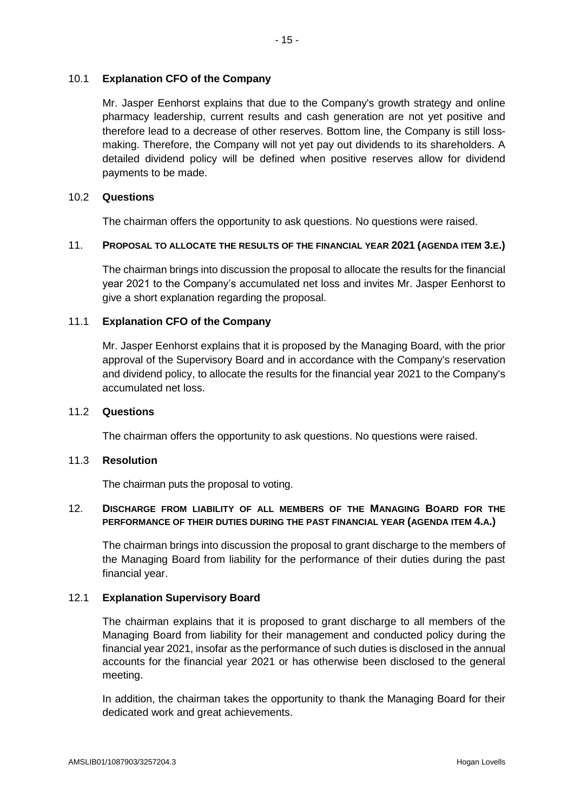## 10.1 **Explanation CFO of the Company**

Mr. Jasper Eenhorst explains that due to the Company's growth strategy and online pharmacy leadership, current results and cash generation are not yet positive and therefore lead to a decrease of other reserves. Bottom line, the Company is still lossmaking. Therefore, the Company will not yet pay out dividends to its shareholders. A detailed dividend policy will be defined when positive reserves allow for dividend payments to be made.

## 10.2 **Questions**

The chairman offers the opportunity to ask questions. No questions were raised.

#### 11. **PROPOSAL TO ALLOCATE THE RESULTS OF THE FINANCIAL YEAR 2021 (AGENDA ITEM 3.E.)**

The chairman brings into discussion the proposal to allocate the results for the financial year 2021 to the Company's accumulated net loss and invites Mr. Jasper Eenhorst to give a short explanation regarding the proposal.

## 11.1 **Explanation CFO of the Company**

Mr. Jasper Eenhorst explains that it is proposed by the Managing Board, with the prior approval of the Supervisory Board and in accordance with the Company's reservation and dividend policy, to allocate the results for the financial year 2021 to the Company's accumulated net loss.

#### 11.2 **Questions**

The chairman offers the opportunity to ask questions. No questions were raised.

# 11.3 **Resolution**

The chairman puts the proposal to voting.

# 12. **DISCHARGE FROM LIABILITY OF ALL MEMBERS OF THE MANAGING BOARD FOR THE PERFORMANCE OF THEIR DUTIES DURING THE PAST FINANCIAL YEAR (AGENDA ITEM 4.A.)**

The chairman brings into discussion the proposal to grant discharge to the members of the Managing Board from liability for the performance of their duties during the past financial year.

#### 12.1 **Explanation Supervisory Board**

The chairman explains that it is proposed to grant discharge to all members of the Managing Board from liability for their management and conducted policy during the financial year 2021, insofar as the performance of such duties is disclosed in the annual accounts for the financial year 2021 or has otherwise been disclosed to the general meeting.

In addition, the chairman takes the opportunity to thank the Managing Board for their dedicated work and great achievements.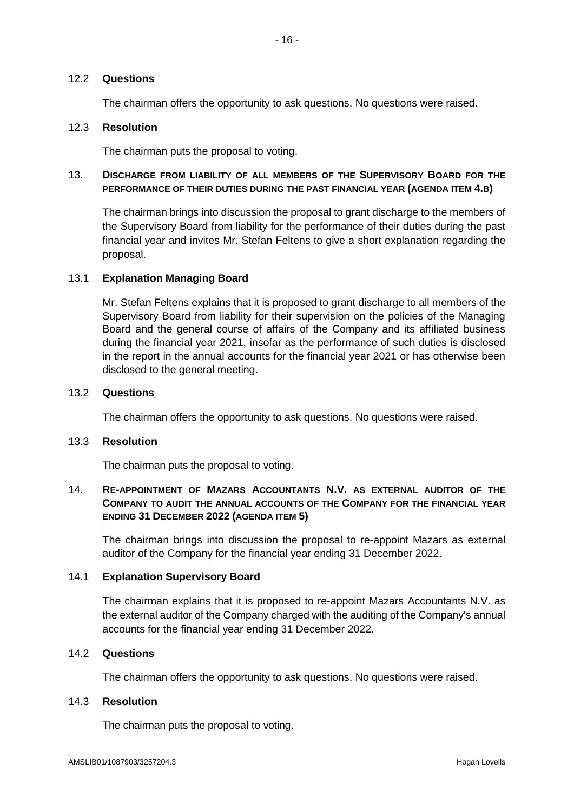# - 16 -

## 12.2 **Questions**

The chairman offers the opportunity to ask questions. No questions were raised.

## 12.3 **Resolution**

The chairman puts the proposal to voting.

## 13. **DISCHARGE FROM LIABILITY OF ALL MEMBERS OF THE SUPERVISORY BOARD FOR THE PERFORMANCE OF THEIR DUTIES DURING THE PAST FINANCIAL YEAR (AGENDA ITEM 4.B)**

The chairman brings into discussion the proposal to grant discharge to the members of the Supervisory Board from liability for the performance of their duties during the past financial year and invites Mr. Stefan Feltens to give a short explanation regarding the proposal.

#### 13.1 **Explanation Managing Board**

Mr. Stefan Feltens explains that it is proposed to grant discharge to all members of the Supervisory Board from liability for their supervision on the policies of the Managing Board and the general course of affairs of the Company and its affiliated business during the financial year 2021, insofar as the performance of such duties is disclosed in the report in the annual accounts for the financial year 2021 or has otherwise been disclosed to the general meeting.

#### 13.2 **Questions**

The chairman offers the opportunity to ask questions. No questions were raised.

#### 13.3 **Resolution**

The chairman puts the proposal to voting.

# 14. **RE-APPOINTMENT OF MAZARS ACCOUNTANTS N.V. AS EXTERNAL AUDITOR OF THE COMPANY TO AUDIT THE ANNUAL ACCOUNTS OF THE COMPANY FOR THE FINANCIAL YEAR ENDING 31 DECEMBER 2022 (AGENDA ITEM 5)**

The chairman brings into discussion the proposal to re-appoint Mazars as external auditor of the Company for the financial year ending 31 December 2022.

## 14.1 **Explanation Supervisory Board**

The chairman explains that it is proposed to re-appoint Mazars Accountants N.V. as the external auditor of the Company charged with the auditing of the Company's annual accounts for the financial year ending 31 December 2022.

# 14.2 **Questions**

The chairman offers the opportunity to ask questions. No questions were raised.

## 14.3 **Resolution**

The chairman puts the proposal to voting.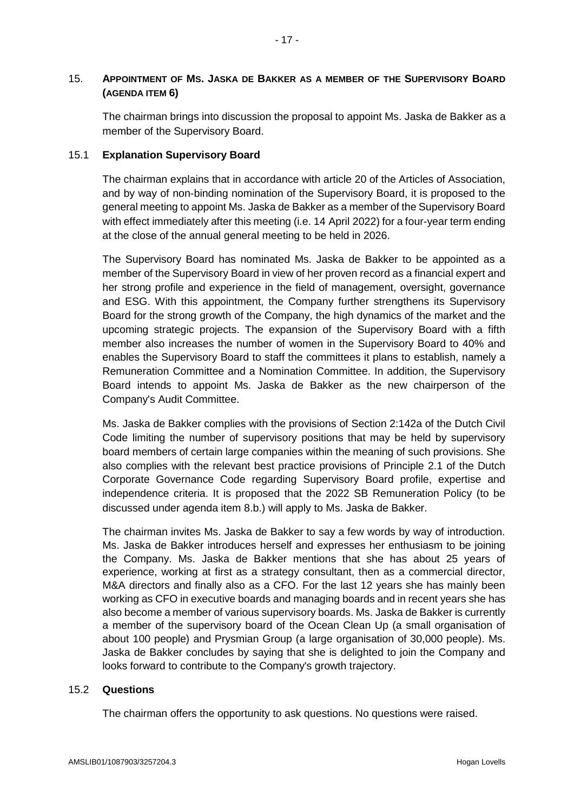# 15. **APPOINTMENT OF MS. JASKA DE BAKKER AS A MEMBER OF THE SUPERVISORY BOARD (AGENDA ITEM 6)**

The chairman brings into discussion the proposal to appoint Ms. Jaska de Bakker as a member of the Supervisory Board.

# 15.1 **Explanation Supervisory Board**

The chairman explains that in accordance with article 20 of the Articles of Association, and by way of non-binding nomination of the Supervisory Board, it is proposed to the general meeting to appoint Ms. Jaska de Bakker as a member of the Supervisory Board with effect immediately after this meeting (i.e. 14 April 2022) for a four-year term ending at the close of the annual general meeting to be held in 2026.

The Supervisory Board has nominated Ms. Jaska de Bakker to be appointed as a member of the Supervisory Board in view of her proven record as a financial expert and her strong profile and experience in the field of management, oversight, governance and ESG. With this appointment, the Company further strengthens its Supervisory Board for the strong growth of the Company, the high dynamics of the market and the upcoming strategic projects. The expansion of the Supervisory Board with a fifth member also increases the number of women in the Supervisory Board to 40% and enables the Supervisory Board to staff the committees it plans to establish, namely a Remuneration Committee and a Nomination Committee. In addition, the Supervisory Board intends to appoint Ms. Jaska de Bakker as the new chairperson of the Company's Audit Committee.

Ms. Jaska de Bakker complies with the provisions of Section 2:142a of the Dutch Civil Code limiting the number of supervisory positions that may be held by supervisory board members of certain large companies within the meaning of such provisions. She also complies with the relevant best practice provisions of Principle 2.1 of the Dutch Corporate Governance Code regarding Supervisory Board profile, expertise and independence criteria. It is proposed that the 2022 SB Remuneration Policy (to be discussed under agenda item 8.b.) will apply to Ms. Jaska de Bakker.

The chairman invites Ms. Jaska de Bakker to say a few words by way of introduction. Ms. Jaska de Bakker introduces herself and expresses her enthusiasm to be joining the Company. Ms. Jaska de Bakker mentions that she has about 25 years of experience, working at first as a strategy consultant, then as a commercial director, M&A directors and finally also as a CFO. For the last 12 years she has mainly been working as CFO in executive boards and managing boards and in recent years she has also become a member of various supervisory boards. Ms. Jaska de Bakker is currently a member of the supervisory board of the Ocean Clean Up (a small organisation of about 100 people) and Prysmian Group (a large organisation of 30,000 people). Ms. Jaska de Bakker concludes by saying that she is delighted to join the Company and looks forward to contribute to the Company's growth trajectory.

# 15.2 **Questions**

The chairman offers the opportunity to ask questions. No questions were raised.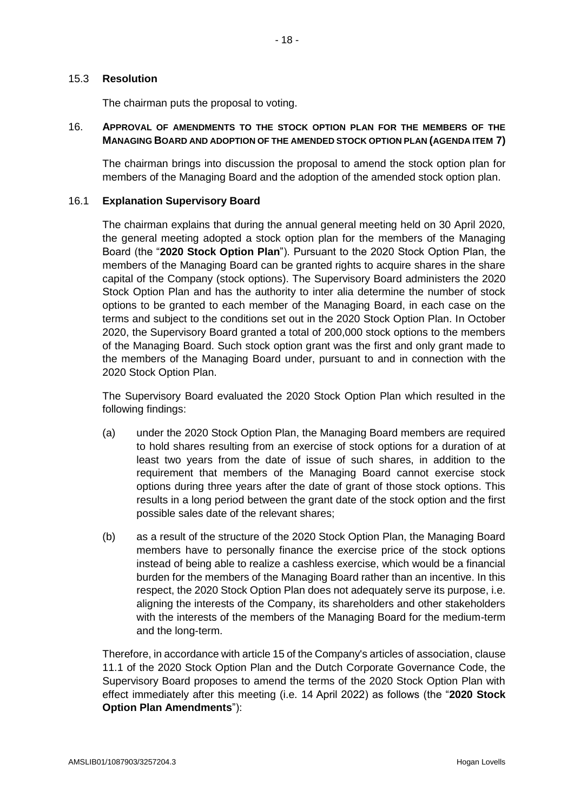The chairman puts the proposal to voting.

## 16. **APPROVAL OF AMENDMENTS TO THE STOCK OPTION PLAN FOR THE MEMBERS OF THE MANAGING BOARD AND ADOPTION OF THE AMENDED STOCK OPTION PLAN (AGENDA ITEM 7)**

The chairman brings into discussion the proposal to amend the stock option plan for members of the Managing Board and the adoption of the amended stock option plan.

## 16.1 **Explanation Supervisory Board**

The chairman explains that during the annual general meeting held on 30 April 2020, the general meeting adopted a stock option plan for the members of the Managing Board (the "**2020 Stock Option Plan**"). Pursuant to the 2020 Stock Option Plan, the members of the Managing Board can be granted rights to acquire shares in the share capital of the Company (stock options). The Supervisory Board administers the 2020 Stock Option Plan and has the authority to inter alia determine the number of stock options to be granted to each member of the Managing Board, in each case on the terms and subject to the conditions set out in the 2020 Stock Option Plan. In October 2020, the Supervisory Board granted a total of 200,000 stock options to the members of the Managing Board. Such stock option grant was the first and only grant made to the members of the Managing Board under, pursuant to and in connection with the 2020 Stock Option Plan.

The Supervisory Board evaluated the 2020 Stock Option Plan which resulted in the following findings:

- (a) under the 2020 Stock Option Plan, the Managing Board members are required to hold shares resulting from an exercise of stock options for a duration of at least two years from the date of issue of such shares, in addition to the requirement that members of the Managing Board cannot exercise stock options during three years after the date of grant of those stock options. This results in a long period between the grant date of the stock option and the first possible sales date of the relevant shares;
- (b) as a result of the structure of the 2020 Stock Option Plan, the Managing Board members have to personally finance the exercise price of the stock options instead of being able to realize a cashless exercise, which would be a financial burden for the members of the Managing Board rather than an incentive. In this respect, the 2020 Stock Option Plan does not adequately serve its purpose, i.e. aligning the interests of the Company, its shareholders and other stakeholders with the interests of the members of the Managing Board for the medium-term and the long-term.

Therefore, in accordance with article 15 of the Company's articles of association, clause 11.1 of the 2020 Stock Option Plan and the Dutch Corporate Governance Code, the Supervisory Board proposes to amend the terms of the 2020 Stock Option Plan with effect immediately after this meeting (i.e. 14 April 2022) as follows (the "**2020 Stock Option Plan Amendments**"):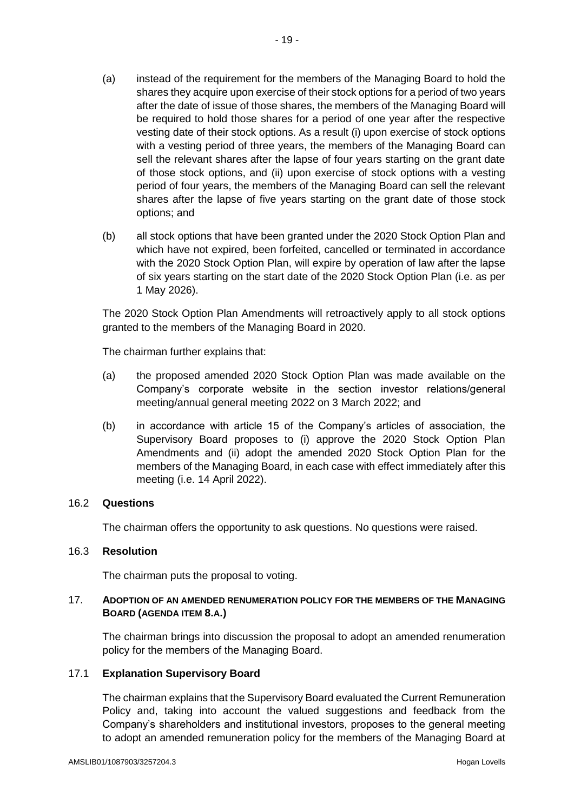- (a) instead of the requirement for the members of the Managing Board to hold the shares they acquire upon exercise of their stock options for a period of two years after the date of issue of those shares, the members of the Managing Board will be required to hold those shares for a period of one year after the respective vesting date of their stock options. As a result (i) upon exercise of stock options with a vesting period of three years, the members of the Managing Board can sell the relevant shares after the lapse of four years starting on the grant date of those stock options, and (ii) upon exercise of stock options with a vesting period of four years, the members of the Managing Board can sell the relevant shares after the lapse of five years starting on the grant date of those stock options; and
- (b) all stock options that have been granted under the 2020 Stock Option Plan and which have not expired, been forfeited, cancelled or terminated in accordance with the 2020 Stock Option Plan, will expire by operation of law after the lapse of six years starting on the start date of the 2020 Stock Option Plan (i.e. as per 1 May 2026).

The 2020 Stock Option Plan Amendments will retroactively apply to all stock options granted to the members of the Managing Board in 2020.

The chairman further explains that:

- (a) the proposed amended 2020 Stock Option Plan was made available on the Company's corporate website in the section investor relations/general meeting/annual general meeting 2022 on 3 March 2022; and
- (b) in accordance with article 15 of the Company's articles of association, the Supervisory Board proposes to (i) approve the 2020 Stock Option Plan Amendments and (ii) adopt the amended 2020 Stock Option Plan for the members of the Managing Board, in each case with effect immediately after this meeting (i.e. 14 April 2022).

#### 16.2 **Questions**

The chairman offers the opportunity to ask questions. No questions were raised.

#### 16.3 **Resolution**

The chairman puts the proposal to voting.

## 17. **ADOPTION OF AN AMENDED RENUMERATION POLICY FOR THE MEMBERS OF THE MANAGING BOARD (AGENDA ITEM 8.A.)**

The chairman brings into discussion the proposal to adopt an amended renumeration policy for the members of the Managing Board.

# 17.1 **Explanation Supervisory Board**

The chairman explains that the Supervisory Board evaluated the Current Remuneration Policy and, taking into account the valued suggestions and feedback from the Company's shareholders and institutional investors, proposes to the general meeting to adopt an amended remuneration policy for the members of the Managing Board at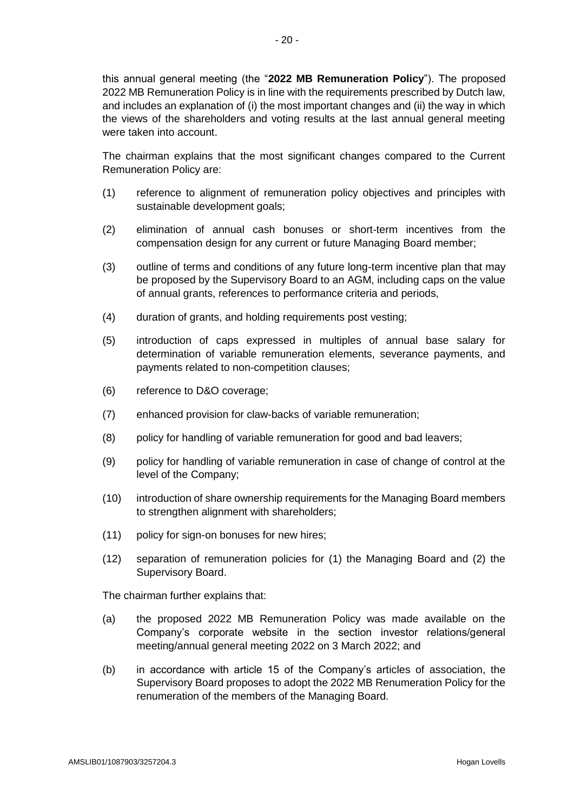this annual general meeting (the "**2022 MB Remuneration Policy**"). The proposed 2022 MB Remuneration Policy is in line with the requirements prescribed by Dutch law, and includes an explanation of (i) the most important changes and (ii) the way in which the views of the shareholders and voting results at the last annual general meeting were taken into account.

The chairman explains that the most significant changes compared to the Current Remuneration Policy are:

- (1) reference to alignment of remuneration policy objectives and principles with sustainable development goals;
- (2) elimination of annual cash bonuses or short-term incentives from the compensation design for any current or future Managing Board member;
- (3) outline of terms and conditions of any future long-term incentive plan that may be proposed by the Supervisory Board to an AGM, including caps on the value of annual grants, references to performance criteria and periods,
- (4) duration of grants, and holding requirements post vesting;
- (5) introduction of caps expressed in multiples of annual base salary for determination of variable remuneration elements, severance payments, and payments related to non-competition clauses;
- (6) reference to D&O coverage;
- (7) enhanced provision for claw-backs of variable remuneration;
- (8) policy for handling of variable remuneration for good and bad leavers;
- (9) policy for handling of variable remuneration in case of change of control at the level of the Company;
- (10) introduction of share ownership requirements for the Managing Board members to strengthen alignment with shareholders;
- (11) policy for sign-on bonuses for new hires;
- (12) separation of remuneration policies for (1) the Managing Board and (2) the Supervisory Board.

The chairman further explains that:

- (a) the proposed 2022 MB Remuneration Policy was made available on the Company's corporate website in the section investor relations/general meeting/annual general meeting 2022 on 3 March 2022; and
- (b) in accordance with article 15 of the Company's articles of association, the Supervisory Board proposes to adopt the 2022 MB Renumeration Policy for the renumeration of the members of the Managing Board.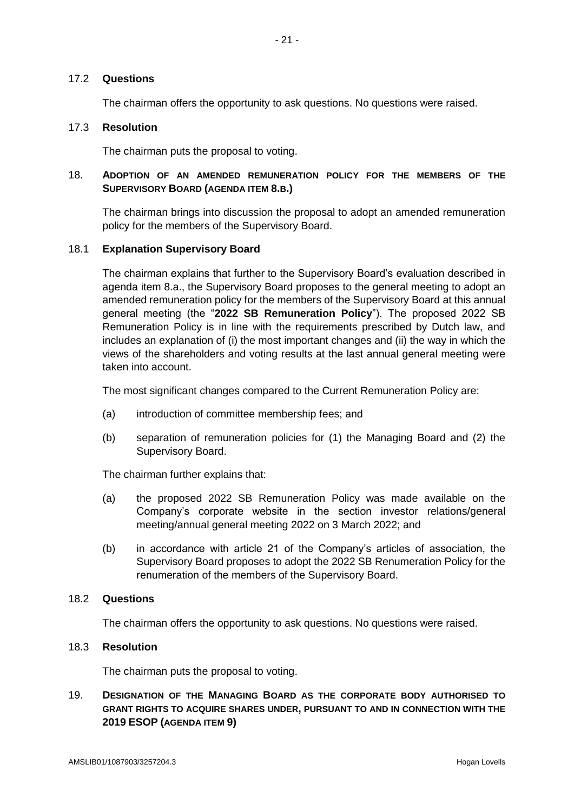# 17.2 **Questions**

The chairman offers the opportunity to ask questions. No questions were raised.

## 17.3 **Resolution**

The chairman puts the proposal to voting.

# 18. **ADOPTION OF AN AMENDED REMUNERATION POLICY FOR THE MEMBERS OF THE SUPERVISORY BOARD (AGENDA ITEM 8.B.)**

The chairman brings into discussion the proposal to adopt an amended remuneration policy for the members of the Supervisory Board.

# 18.1 **Explanation Supervisory Board**

The chairman explains that further to the Supervisory Board's evaluation described in agenda item 8.a., the Supervisory Board proposes to the general meeting to adopt an amended remuneration policy for the members of the Supervisory Board at this annual general meeting (the "**2022 SB Remuneration Policy**"). The proposed 2022 SB Remuneration Policy is in line with the requirements prescribed by Dutch law, and includes an explanation of (i) the most important changes and (ii) the way in which the views of the shareholders and voting results at the last annual general meeting were taken into account.

The most significant changes compared to the Current Remuneration Policy are:

- (a) introduction of committee membership fees; and
- (b) separation of remuneration policies for (1) the Managing Board and (2) the Supervisory Board.

The chairman further explains that:

- (a) the proposed 2022 SB Remuneration Policy was made available on the Company's corporate website in the section investor relations/general meeting/annual general meeting 2022 on 3 March 2022; and
- (b) in accordance with article 21 of the Company's articles of association, the Supervisory Board proposes to adopt the 2022 SB Renumeration Policy for the renumeration of the members of the Supervisory Board.

#### 18.2 **Questions**

The chairman offers the opportunity to ask questions. No questions were raised.

## 18.3 **Resolution**

The chairman puts the proposal to voting.

# 19. **DESIGNATION OF THE MANAGING BOARD AS THE CORPORATE BODY AUTHORISED TO GRANT RIGHTS TO ACQUIRE SHARES UNDER, PURSUANT TO AND IN CONNECTION WITH THE 2019 ESOP (AGENDA ITEM 9)**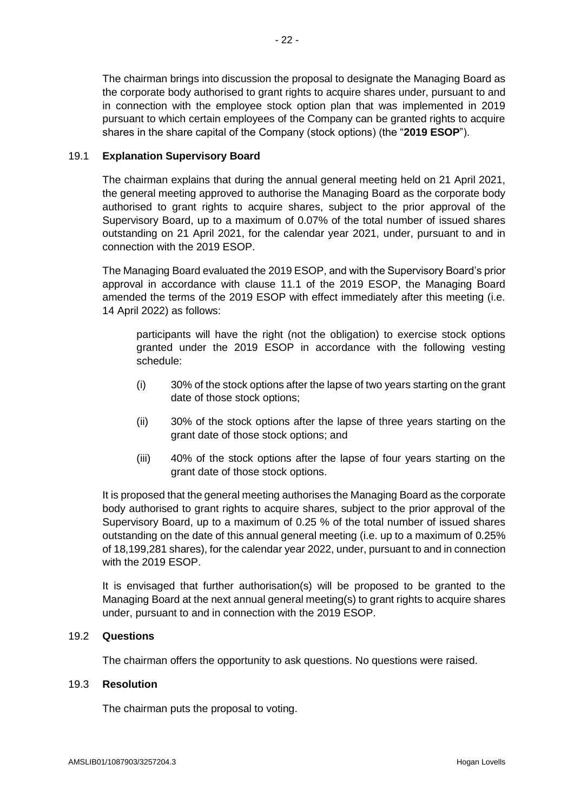The chairman brings into discussion the proposal to designate the Managing Board as the corporate body authorised to grant rights to acquire shares under, pursuant to and in connection with the employee stock option plan that was implemented in 2019 pursuant to which certain employees of the Company can be granted rights to acquire shares in the share capital of the Company (stock options) (the "**2019 ESOP**").

# 19.1 **Explanation Supervisory Board**

The chairman explains that during the annual general meeting held on 21 April 2021, the general meeting approved to authorise the Managing Board as the corporate body authorised to grant rights to acquire shares, subject to the prior approval of the Supervisory Board, up to a maximum of 0.07% of the total number of issued shares outstanding on 21 April 2021, for the calendar year 2021, under, pursuant to and in connection with the 2019 ESOP.

The Managing Board evaluated the 2019 ESOP, and with the Supervisory Board's prior approval in accordance with clause 11.1 of the 2019 ESOP, the Managing Board amended the terms of the 2019 ESOP with effect immediately after this meeting (i.e. 14 April 2022) as follows:

participants will have the right (not the obligation) to exercise stock options granted under the 2019 ESOP in accordance with the following vesting schedule:

- (i) 30% of the stock options after the lapse of two years starting on the grant date of those stock options;
- (ii) 30% of the stock options after the lapse of three years starting on the grant date of those stock options; and
- (iii) 40% of the stock options after the lapse of four years starting on the grant date of those stock options.

It is proposed that the general meeting authorises the Managing Board as the corporate body authorised to grant rights to acquire shares, subject to the prior approval of the Supervisory Board, up to a maximum of 0.25 % of the total number of issued shares outstanding on the date of this annual general meeting (i.e. up to a maximum of 0.25% of 18,199,281 shares), for the calendar year 2022, under, pursuant to and in connection with the 2019 ESOP.

It is envisaged that further authorisation(s) will be proposed to be granted to the Managing Board at the next annual general meeting(s) to grant rights to acquire shares under, pursuant to and in connection with the 2019 ESOP.

#### 19.2 **Questions**

The chairman offers the opportunity to ask questions. No questions were raised.

#### 19.3 **Resolution**

The chairman puts the proposal to voting.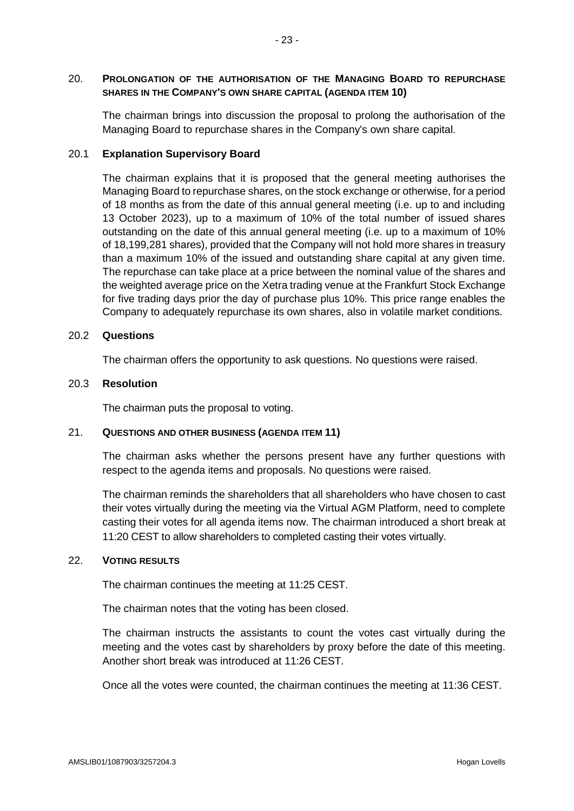# 20. **PROLONGATION OF THE AUTHORISATION OF THE MANAGING BOARD TO REPURCHASE SHARES IN THE COMPANY'S OWN SHARE CAPITAL (AGENDA ITEM 10)**

The chairman brings into discussion the proposal to prolong the authorisation of the Managing Board to repurchase shares in the Company's own share capital.

# 20.1 **Explanation Supervisory Board**

The chairman explains that it is proposed that the general meeting authorises the Managing Board to repurchase shares, on the stock exchange or otherwise, for a period of 18 months as from the date of this annual general meeting (i.e. up to and including 13 October 2023), up to a maximum of 10% of the total number of issued shares outstanding on the date of this annual general meeting (i.e. up to a maximum of 10% of 18,199,281 shares), provided that the Company will not hold more shares in treasury than a maximum 10% of the issued and outstanding share capital at any given time. The repurchase can take place at a price between the nominal value of the shares and the weighted average price on the Xetra trading venue at the Frankfurt Stock Exchange for five trading days prior the day of purchase plus 10%. This price range enables the Company to adequately repurchase its own shares, also in volatile market conditions.

## 20.2 **Questions**

The chairman offers the opportunity to ask questions. No questions were raised.

## 20.3 **Resolution**

The chairman puts the proposal to voting.

# 21. **QUESTIONS AND OTHER BUSINESS (AGENDA ITEM 11)**

The chairman asks whether the persons present have any further questions with respect to the agenda items and proposals. No questions were raised.

The chairman reminds the shareholders that all shareholders who have chosen to cast their votes virtually during the meeting via the Virtual AGM Platform, need to complete casting their votes for all agenda items now. The chairman introduced a short break at 11:20 CEST to allow shareholders to completed casting their votes virtually.

#### 22. **VOTING RESULTS**

The chairman continues the meeting at 11:25 CEST.

The chairman notes that the voting has been closed.

The chairman instructs the assistants to count the votes cast virtually during the meeting and the votes cast by shareholders by proxy before the date of this meeting. Another short break was introduced at 11:26 CEST.

Once all the votes were counted, the chairman continues the meeting at 11:36 CEST.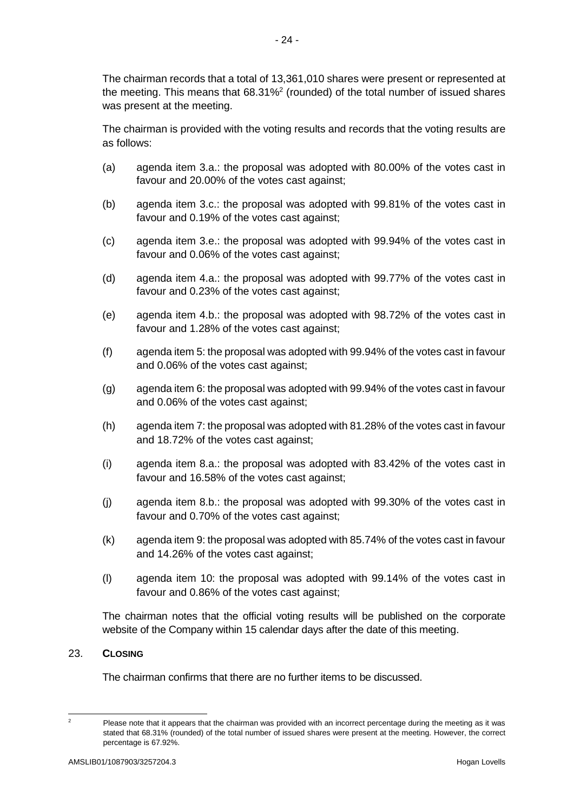The chairman records that a total of 13,361,010 shares were present or represented at the meeting. This means that 68.31%<sup>2</sup> (rounded) of the total number of issued shares was present at the meeting.

The chairman is provided with the voting results and records that the voting results are as follows:

- (a) agenda item 3.a.: the proposal was adopted with 80.00% of the votes cast in favour and 20.00% of the votes cast against;
- (b) agenda item 3.c.: the proposal was adopted with 99.81% of the votes cast in favour and 0.19% of the votes cast against;
- (c) agenda item 3.e.: the proposal was adopted with 99.94% of the votes cast in favour and 0.06% of the votes cast against;
- (d) agenda item 4.a.: the proposal was adopted with 99.77% of the votes cast in favour and 0.23% of the votes cast against;
- (e) agenda item 4.b.: the proposal was adopted with 98.72% of the votes cast in favour and 1.28% of the votes cast against;
- (f) agenda item 5: the proposal was adopted with 99.94% of the votes cast in favour and 0.06% of the votes cast against;
- (g) agenda item 6: the proposal was adopted with 99.94% of the votes cast in favour and 0.06% of the votes cast against;
- (h) agenda item 7: the proposal was adopted with 81.28% of the votes cast in favour and 18.72% of the votes cast against;
- (i) agenda item 8.a.: the proposal was adopted with 83.42% of the votes cast in favour and 16.58% of the votes cast against;
- (j) agenda item 8.b.: the proposal was adopted with 99.30% of the votes cast in favour and 0.70% of the votes cast against;
- (k) agenda item 9: the proposal was adopted with 85.74% of the votes cast in favour and 14.26% of the votes cast against;
- (l) agenda item 10: the proposal was adopted with 99.14% of the votes cast in favour and 0.86% of the votes cast against;

The chairman notes that the official voting results will be published on the corporate website of the Company within 15 calendar days after the date of this meeting.

#### 23. **CLOSING**

The chairman confirms that there are no further items to be discussed.

 $\overline{\phantom{a}}$ 

Please note that it appears that the chairman was provided with an incorrect percentage during the meeting as it was stated that 68.31% (rounded) of the total number of issued shares were present at the meeting. However, the correct percentage is 67.92%.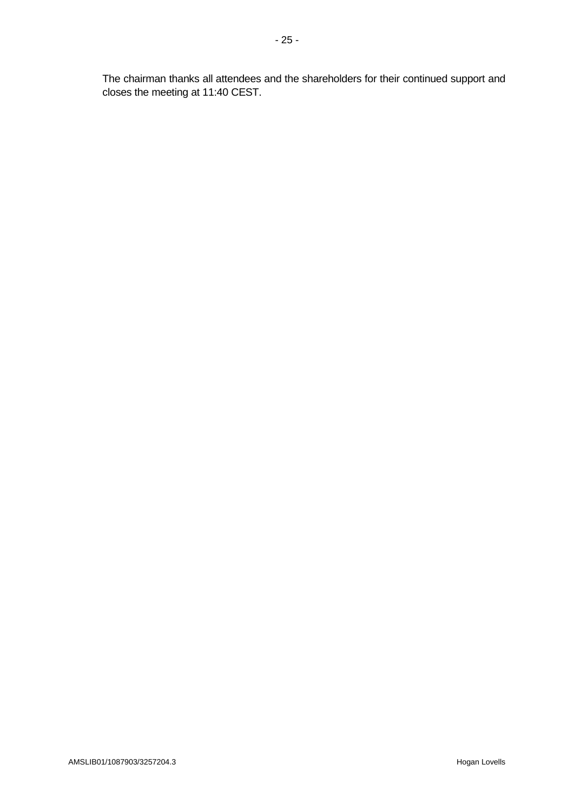The chairman thanks all attendees and the shareholders for their continued support and closes the meeting at 11:40 CEST.